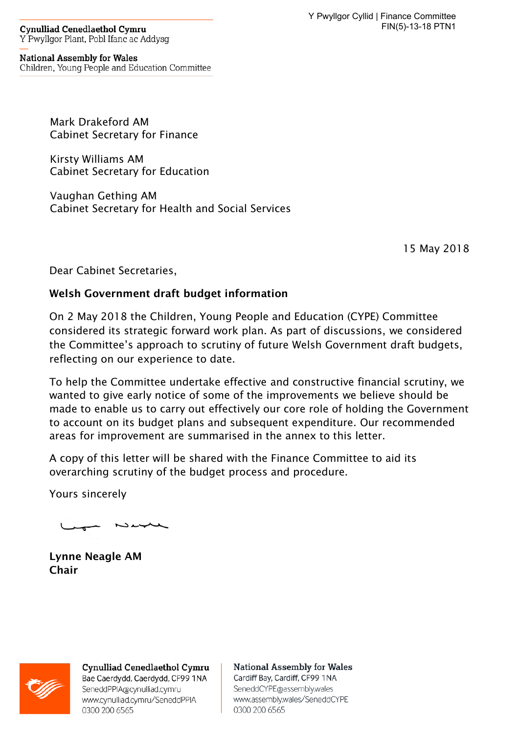**Cynulliad Cenedlaethol Cymru** Y Pwyllgor Plant, Pobl Ifanc ac Addysg

**National Assembly for Wales** Children, Young People and Education Committee

> Mark Drakeford AM Cabinet Secretary for Finance

Kirsty Williams AM Cabinet Secretary for Education

Vaughan Gething AM Cabinet Secretary for Health and Social Services

15 May 2018

Dear Cabinet Secretaries,

## Welsh Government draft budget information

On 2 May 2018 the Children, Young People and Education (CYPE) Committee considered its strategic forward work plan. As part of discussions, we considered the Committee's approach to scrutiny of future Welsh Government draft budgets, reflecting on our experience to date.

To help the Committee undertake effective and constructive financial scrutiny, we wanted to give early notice of some of the improvements we believe should be made to enable us to carry out effectively our core role of holding the Government to account on its budget plans and subsequent expenditure. Our recommended areas for improvement are summarised in the annex to this letter.

A copy of this letter will be shared with the Finance Committee to aid its overarching scrutiny of the budget process and procedure.

Yours sincerely

 $\sim$ 

Lynne Neagle AM Chair



Cynulliad Cenedlaethol Cymru Bae Caerdydd, Caerdydd, CF99 1NA SeneddPPIA@cynulliad.cymru www.cynulliad.cymru/SeneddPPIA 0300 200 6565

**National Assembly for Wales** Cardiff Bay, Cardiff, CF99 1NA SeneddCYPE@assembly.wales www.assembly.wales/SeneddCYPE 0300 200 6565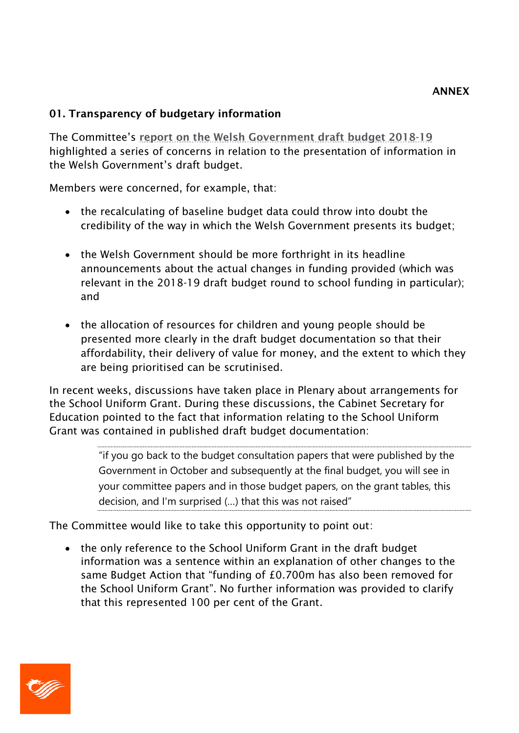## 01. Transparency of budgetary information

The Committee's [report on the Welsh Government draft budget 2018-19](http://senedd.assembly.wales/documents/s69365/Children%20Young%20People%20and%20Education%20Committee%20-%20Report%20on%20the%20Welsh%20Governments%20draft%20budget%202018-.pdf) highlighted a series of concerns in relation to the presentation of information in the Welsh Government's draft budget.

Members were concerned, for example, that:

- the recalculating of baseline budget data could throw into doubt the credibility of the way in which the Welsh Government presents its budget;
- the Welsh Government should be more forthright in its headline announcements about the actual changes in funding provided (which was relevant in the 2018-19 draft budget round to school funding in particular); and
- the allocation of resources for children and young people should be presented more clearly in the draft budget documentation so that their affordability, their delivery of value for money, and the extent to which they are being prioritised can be scrutinised.

In recent weeks, discussions have taken place in Plenary about arrangements for the School Uniform Grant. During these discussions, the Cabinet Secretary for Education pointed to the fact that information relating to the School Uniform Grant was contained in published draft budget documentation:

> "if you go back to the budget consultation papers that were published by the Government in October and subsequently at the final budget, you will see in your committee papers and in those budget papers, on the grant tables, this decision, and I'm surprised (…) that this was not raised"

The Committee would like to take this opportunity to point out:

• the only reference to the School Uniform Grant in the draft budget information was a sentence within an explanation of other changes to the same Budget Action that "funding of £0.700m has also been removed for the School Uniform Grant". No further information was provided to clarify that this represented 100 per cent of the Grant.

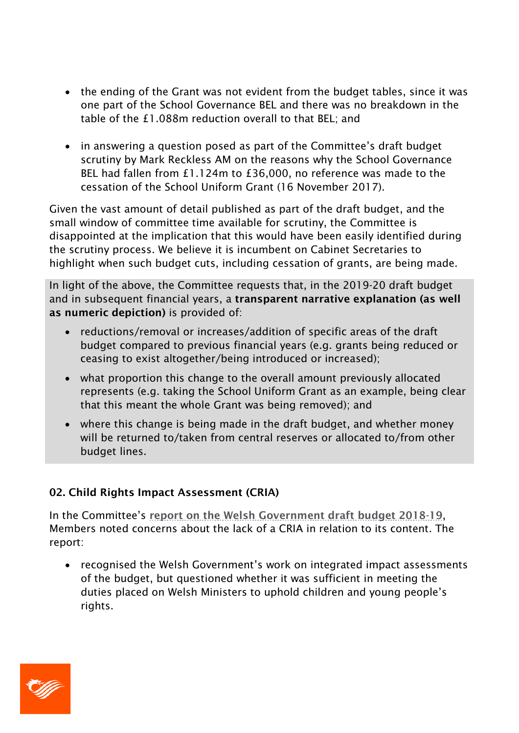- the ending of the Grant was not evident from the budget tables, since it was one part of the School Governance BEL and there was no breakdown in the table of the £1.088m reduction overall to that BEL; and
- in answering a question posed as part of the Committee's draft budget scrutiny by Mark Reckless AM on the reasons why the School Governance BEL had fallen from £1.124m to £36,000, no reference was made to the cessation of the School Uniform Grant (16 November 2017).

Given the vast amount of detail published as part of the draft budget, and the small window of committee time available for scrutiny, the Committee is disappointed at the implication that this would have been easily identified during the scrutiny process. We believe it is incumbent on Cabinet Secretaries to highlight when such budget cuts, including cessation of grants, are being made.

In light of the above, the Committee requests that, in the 2019-20 draft budget and in subsequent financial years, a transparent narrative explanation (as well as numeric depiction) is provided of:

- reductions/removal or increases/addition of specific areas of the draft budget compared to previous financial years (e.g. grants being reduced or ceasing to exist altogether/being introduced or increased);
- what proportion this change to the overall amount previously allocated represents (e.g. taking the School Uniform Grant as an example, being clear that this meant the whole Grant was being removed); and
- where this change is being made in the draft budget, and whether money will be returned to/taken from central reserves or allocated to/from other budget lines.

## 02. Child Rights Impact Assessment (CRIA)

In the Committee's [report on the Welsh Government draft budget 2018-19](http://senedd.assembly.wales/documents/s69365/Children%20Young%20People%20and%20Education%20Committee%20-%20Report%20on%20the%20Welsh%20Governments%20draft%20budget%202018-.pdf), Members noted concerns about the lack of a CRIA in relation to its content. The report:

• recognised the Welsh Government's work on integrated impact assessments of the budget, but questioned whether it was sufficient in meeting the duties placed on Welsh Ministers to uphold children and young people's rights.